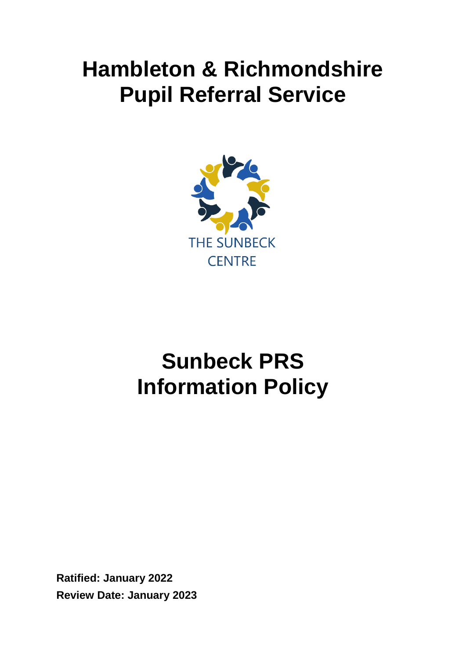## **Hambleton & Richmondshire Pupil Referral Service**



# **Sunbeck PRS Information Policy**

**Ratified: January 2022 Review Date: January 2023**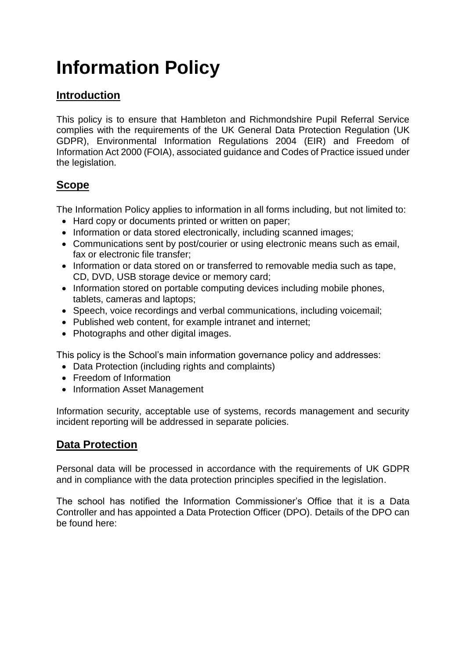## **Information Policy**

## **Introduction**

This policy is to ensure that Hambleton and Richmondshire Pupil Referral Service complies with the requirements of the UK General Data Protection Regulation (UK GDPR), Environmental Information Regulations 2004 (EIR) and Freedom of Information Act 2000 (FOIA), associated guidance and Codes of Practice issued under the legislation.

## **Scope**

The Information Policy applies to information in all forms including, but not limited to:

- Hard copy or documents printed or written on paper;
- Information or data stored electronically, including scanned images;
- Communications sent by post/courier or using electronic means such as email, fax or electronic file transfer;
- Information or data stored on or transferred to removable media such as tape, CD, DVD, USB storage device or memory card;
- Information stored on portable computing devices including mobile phones, tablets, cameras and laptops;
- Speech, voice recordings and verbal communications, including voicemail;
- Published web content, for example intranet and internet;
- Photographs and other digital images.

This policy is the School's main information governance policy and addresses:

- Data Protection (including rights and complaints)
- Freedom of Information
- Information Asset Management

Information security, acceptable use of systems, records management and security incident reporting will be addressed in separate policies.

#### **Data Protection**

Personal data will be processed in accordance with the requirements of UK GDPR and in compliance with the data protection principles specified in the legislation.

The school has notified the Information Commissioner's Office that it is a Data Controller and has appointed a Data Protection Officer (DPO). Details of the DPO can be found here: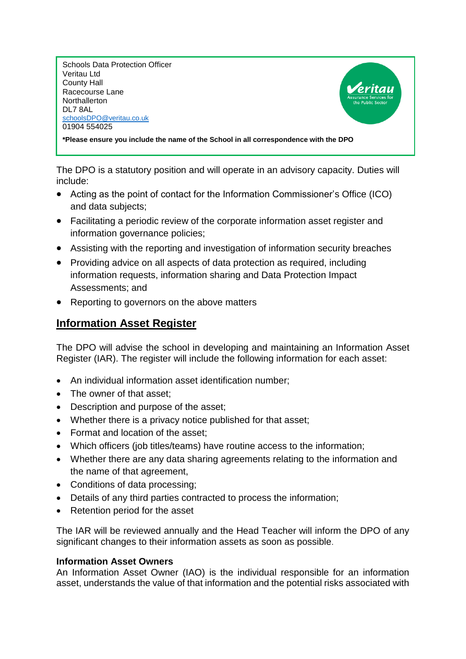Schools Data Protection Officer Veritau Ltd County Hall Racecourse Lane **Northallerton** DL7 8AL [schoolsDPO@veritau.co.uk](mailto:schoolsDPO@veritau.co.uk) 01904 554025



**\*Please ensure you include the name of the School in all correspondence with the DPO** 

The DPO is a statutory position and will operate in an advisory capacity. Duties will include:

- Acting as the point of contact for the Information Commissioner's Office (ICO) and data subjects;
- Facilitating a periodic review of the corporate information asset register and information governance policies;
- Assisting with the reporting and investigation of information security breaches
- Providing advice on all aspects of data protection as required, including information requests, information sharing and Data Protection Impact Assessments; and
- Reporting to governors on the above matters

#### **Information Asset Register**

The DPO will advise the school in developing and maintaining an Information Asset Register (IAR). The register will include the following information for each asset:

- An individual information asset identification number;
- The owner of that asset:
- Description and purpose of the asset;
- Whether there is a privacy notice published for that asset;
- Format and location of the asset:
- Which officers (job titles/teams) have routine access to the information;
- Whether there are any data sharing agreements relating to the information and the name of that agreement,
- Conditions of data processing:
- Details of any third parties contracted to process the information;
- Retention period for the asset

The IAR will be reviewed annually and the Head Teacher will inform the DPO of any significant changes to their information assets as soon as possible.

#### **Information Asset Owners**

An Information Asset Owner (IAO) is the individual responsible for an information asset, understands the value of that information and the potential risks associated with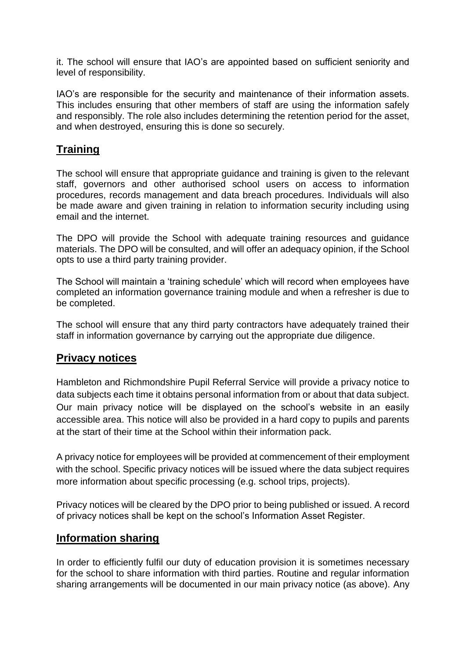it. The school will ensure that IAO's are appointed based on sufficient seniority and level of responsibility.

IAO's are responsible for the security and maintenance of their information assets. This includes ensuring that other members of staff are using the information safely and responsibly. The role also includes determining the retention period for the asset, and when destroyed, ensuring this is done so securely.

### **Training**

The school will ensure that appropriate guidance and training is given to the relevant staff, governors and other authorised school users on access to information procedures, records management and data breach procedures. Individuals will also be made aware and given training in relation to information security including using email and the internet.

The DPO will provide the School with adequate training resources and guidance materials. The DPO will be consulted, and will offer an adequacy opinion, if the School opts to use a third party training provider.

The School will maintain a 'training schedule' which will record when employees have completed an information governance training module and when a refresher is due to be completed.

The school will ensure that any third party contractors have adequately trained their staff in information governance by carrying out the appropriate due diligence.

#### **Privacy notices**

Hambleton and Richmondshire Pupil Referral Service will provide a privacy notice to data subjects each time it obtains personal information from or about that data subject. Our main privacy notice will be displayed on the school's website in an easily accessible area. This notice will also be provided in a hard copy to pupils and parents at the start of their time at the School within their information pack.

A privacy notice for employees will be provided at commencement of their employment with the school. Specific privacy notices will be issued where the data subject requires more information about specific processing (e.g. school trips, projects).

Privacy notices will be cleared by the DPO prior to being published or issued. A record of privacy notices shall be kept on the school's Information Asset Register.

#### **Information sharing**

In order to efficiently fulfil our duty of education provision it is sometimes necessary for the school to share information with third parties. Routine and regular information sharing arrangements will be documented in our main privacy notice (as above). Any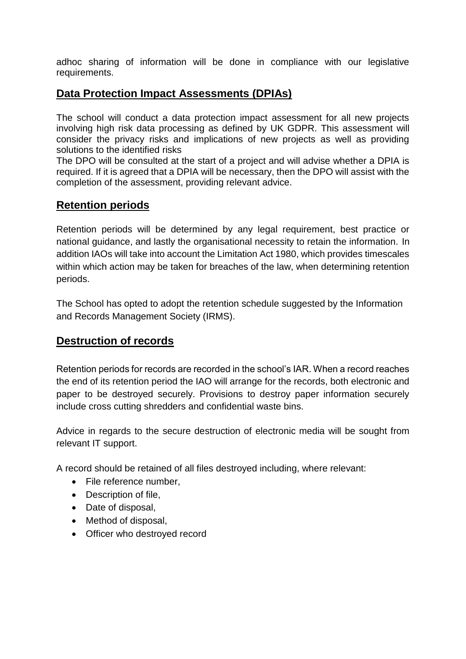adhoc sharing of information will be done in compliance with our legislative requirements.

#### **Data Protection Impact Assessments (DPIAs)**

The school will conduct a data protection impact assessment for all new projects involving high risk data processing as defined by UK GDPR. This assessment will consider the privacy risks and implications of new projects as well as providing solutions to the identified risks

The DPO will be consulted at the start of a project and will advise whether a DPIA is required. If it is agreed that a DPIA will be necessary, then the DPO will assist with the completion of the assessment, providing relevant advice.

#### **Retention periods**

Retention periods will be determined by any legal requirement, best practice or national guidance, and lastly the organisational necessity to retain the information. In addition IAOs will take into account the Limitation Act 1980, which provides timescales within which action may be taken for breaches of the law, when determining retention periods.

The School has opted to adopt the retention schedule suggested by the Information and Records Management Society (IRMS).

#### **Destruction of records**

Retention periods for records are recorded in the school's IAR. When a record reaches the end of its retention period the IAO will arrange for the records, both electronic and paper to be destroyed securely. Provisions to destroy paper information securely include cross cutting shredders and confidential waste bins.

Advice in regards to the secure destruction of electronic media will be sought from relevant IT support.

A record should be retained of all files destroyed including, where relevant:

- File reference number,
- Description of file.
- Date of disposal,
- Method of disposal,
- Officer who destroyed record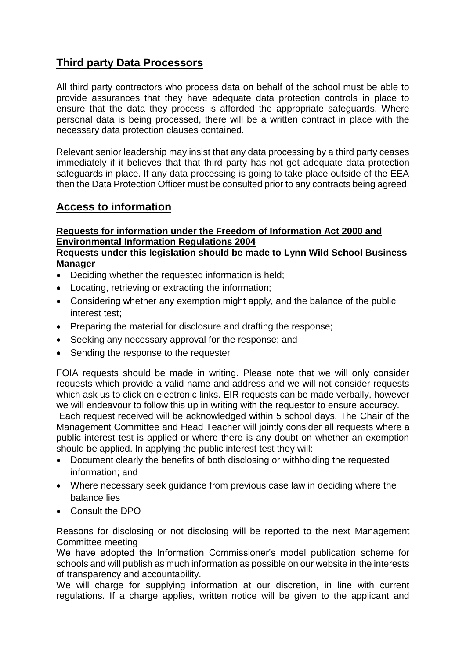## **Third party Data Processors**

All third party contractors who process data on behalf of the school must be able to provide assurances that they have adequate data protection controls in place to ensure that the data they process is afforded the appropriate safeguards. Where personal data is being processed, there will be a written contract in place with the necessary data protection clauses contained.

Relevant senior leadership may insist that any data processing by a third party ceases immediately if it believes that that third party has not got adequate data protection safeguards in place. If any data processing is going to take place outside of the EEA then the Data Protection Officer must be consulted prior to any contracts being agreed.

#### **Access to information**

#### **Requests for information under the Freedom of Information Act 2000 and Environmental Information Regulations 2004**

#### **Requests under this legislation should be made to Lynn Wild School Business Manager**

- Deciding whether the requested information is held;
- Locating, retrieving or extracting the information;
- Considering whether any exemption might apply, and the balance of the public interest test;
- Preparing the material for disclosure and drafting the response;
- Seeking any necessary approval for the response: and
- Sending the response to the requester

FOIA requests should be made in writing. Please note that we will only consider requests which provide a valid name and address and we will not consider requests which ask us to click on electronic links. EIR requests can be made verbally, however we will endeavour to follow this up in writing with the requestor to ensure accuracy.

Each request received will be acknowledged within 5 school days. The Chair of the Management Committee and Head Teacher will jointly consider all requests where a public interest test is applied or where there is any doubt on whether an exemption should be applied. In applying the public interest test they will:

- Document clearly the benefits of both disclosing or withholding the requested information; and
- Where necessary seek guidance from previous case law in deciding where the balance lies
- Consult the DPO

Reasons for disclosing or not disclosing will be reported to the next Management Committee meeting

We have adopted the Information Commissioner's model publication scheme for schools and will publish as much information as possible on our website in the interests of transparency and accountability.

We will charge for supplying information at our discretion, in line with current regulations. If a charge applies, written notice will be given to the applicant and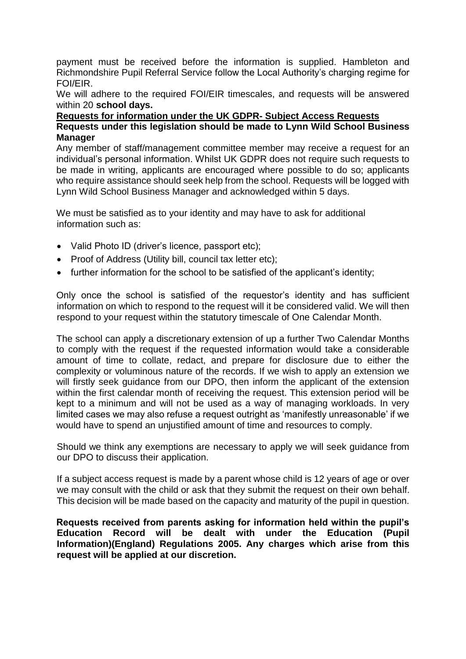payment must be received before the information is supplied. Hambleton and Richmondshire Pupil Referral Service follow the Local Authority's charging regime for FOI/EIR.

We will adhere to the required FOI/EIR timescales, and requests will be answered within 20 **school days.**

#### **Requests for information under the UK GDPR- Subject Access Requests Requests under this legislation should be made to Lynn Wild School Business Manager**

Any member of staff/management committee member may receive a request for an individual's personal information. Whilst UK GDPR does not require such requests to be made in writing, applicants are encouraged where possible to do so; applicants who require assistance should seek help from the school. Requests will be logged with Lynn Wild School Business Manager and acknowledged within 5 days.

We must be satisfied as to your identity and may have to ask for additional information such as:

- Valid Photo ID (driver's licence, passport etc);
- Proof of Address (Utility bill, council tax letter etc);
- further information for the school to be satisfied of the applicant's identity;

Only once the school is satisfied of the requestor's identity and has sufficient information on which to respond to the request will it be considered valid. We will then respond to your request within the statutory timescale of One Calendar Month.

The school can apply a discretionary extension of up a further Two Calendar Months to comply with the request if the requested information would take a considerable amount of time to collate, redact, and prepare for disclosure due to either the complexity or voluminous nature of the records. If we wish to apply an extension we will firstly seek quidance from our DPO, then inform the applicant of the extension within the first calendar month of receiving the request. This extension period will be kept to a minimum and will not be used as a way of managing workloads. In very limited cases we may also refuse a request outright as 'manifestly unreasonable' if we would have to spend an unjustified amount of time and resources to comply.

Should we think any exemptions are necessary to apply we will seek guidance from our DPO to discuss their application.

If a subject access request is made by a parent whose child is 12 years of age or over we may consult with the child or ask that they submit the request on their own behalf. This decision will be made based on the capacity and maturity of the pupil in question.

**Requests received from parents asking for information held within the pupil's Education Record will be dealt with under the Education (Pupil Information)(England) Regulations 2005. Any charges which arise from this request will be applied at our discretion.**